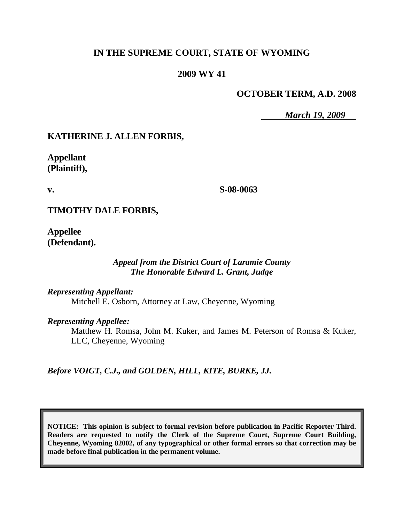# **IN THE SUPREME COURT, STATE OF WYOMING**

## **2009 WY 41**

## **OCTOBER TERM, A.D. 2008**

*March 19, 2009*

# **KATHERINE J. ALLEN FORBIS,**

**Appellant (Plaintiff),**

**v.**

**S-08-0063**

**TIMOTHY DALE FORBIS,**

**Appellee (Defendant).**

### *Appeal from the District Court of Laramie County The Honorable Edward L. Grant, Judge*

*Representing Appellant:*

Mitchell E. Osborn, Attorney at Law, Cheyenne, Wyoming

*Representing Appellee:*

Matthew H. Romsa, John M. Kuker, and James M. Peterson of Romsa & Kuker, LLC, Cheyenne, Wyoming

*Before VOIGT, C.J., and GOLDEN, HILL, KITE, BURKE, JJ.*

**NOTICE: This opinion is subject to formal revision before publication in Pacific Reporter Third. Readers are requested to notify the Clerk of the Supreme Court, Supreme Court Building, Cheyenne, Wyoming 82002, of any typographical or other formal errors so that correction may be made before final publication in the permanent volume.**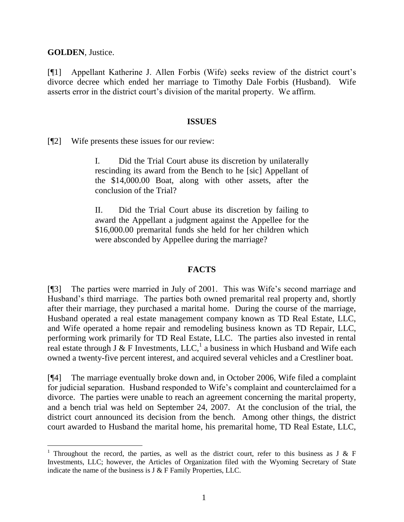**GOLDEN**, Justice.

[¶1] Appellant Katherine J. Allen Forbis (Wife) seeks review of the district court's divorce decree which ended her marriage to Timothy Dale Forbis (Husband). Wife asserts error in the district court's division of the marital property. We affirm.

### **ISSUES**

[¶2] Wife presents these issues for our review:

I. Did the Trial Court abuse its discretion by unilaterally rescinding its award from the Bench to he [sic] Appellant of the \$14,000.00 Boat, along with other assets, after the conclusion of the Trial?

II. Did the Trial Court abuse its discretion by failing to award the Appellant a judgment against the Appellee for the \$16,000.00 premarital funds she held for her children which were absconded by Appellee during the marriage?

## **FACTS**

[¶3] The parties were married in July of 2001. This was Wife's second marriage and Husband's third marriage. The parties both owned premarital real property and, shortly after their marriage, they purchased a marital home. During the course of the marriage, Husband operated a real estate management company known as TD Real Estate, LLC, and Wife operated a home repair and remodeling business known as TD Repair, LLC, performing work primarily for TD Real Estate, LLC. The parties also invested in rental real estate through J & F Investments, LLC,  $^1$  a business in which Husband and Wife each owned a twenty-five percent interest, and acquired several vehicles and a Crestliner boat.

[¶4] The marriage eventually broke down and, in October 2006, Wife filed a complaint for judicial separation. Husband responded to Wife's complaint and counterclaimed for a divorce. The parties were unable to reach an agreement concerning the marital property, and a bench trial was held on September 24, 2007. At the conclusion of the trial, the district court announced its decision from the bench. Among other things, the district court awarded to Husband the marital home, his premarital home, TD Real Estate, LLC,

<sup>&</sup>lt;sup>1</sup> Throughout the record, the parties, as well as the district court, refer to this business as J & F Investments, LLC; however, the Articles of Organization filed with the Wyoming Secretary of State indicate the name of the business is J & F Family Properties, LLC.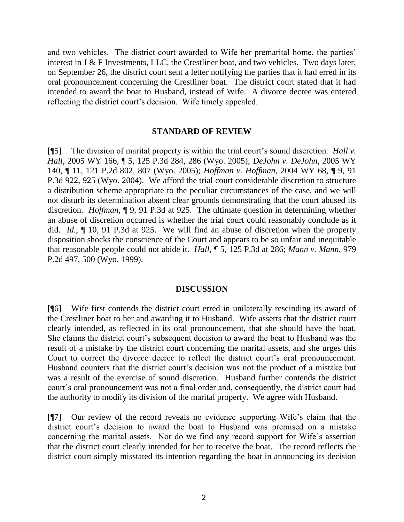and two vehicles. The district court awarded to Wife her premarital home, the parties' interest in J & F Investments, LLC, the Crestliner boat, and two vehicles. Two days later, on September 26, the district court sent a letter notifying the parties that it had erred in its oral pronouncement concerning the Crestliner boat. The district court stated that it had intended to award the boat to Husband, instead of Wife. A divorce decree was entered reflecting the district court's decision. Wife timely appealed.

#### **STANDARD OF REVIEW**

[¶5] The division of marital property is within the trial court's sound discretion. *Hall v. Hall*, 2005 WY 166, ¶ 5, 125 P.3d 284, 286 (Wyo. 2005); *DeJohn v. DeJohn*, 2005 WY 140, ¶ 11, 121 P.2d 802, 807 (Wyo. 2005); *Hoffman v. Hoffman*, 2004 WY 68, ¶ 9, 91 P.3d 922, 925 (Wyo. 2004). We afford the trial court considerable discretion to structure a distribution scheme appropriate to the peculiar circumstances of the case, and we will not disturb its determination absent clear grounds demonstrating that the court abused its discretion. *Hoffman*, ¶ 9, 91 P.3d at 925. The ultimate question in determining whether an abuse of discretion occurred is whether the trial court could reasonably conclude as it did. *Id.*, ¶ 10, 91 P.3d at 925. We will find an abuse of discretion when the property disposition shocks the conscience of the Court and appears to be so unfair and inequitable that reasonable people could not abide it. *Hall*, ¶ 5, 125 P.3d at 286; *Mann v. Mann*, 979 P.2d 497, 500 (Wyo. 1999).

#### **DISCUSSION**

[¶6] Wife first contends the district court erred in unilaterally rescinding its award of the Crestliner boat to her and awarding it to Husband. Wife asserts that the district court clearly intended, as reflected in its oral pronouncement, that she should have the boat. She claims the district court's subsequent decision to award the boat to Husband was the result of a mistake by the district court concerning the marital assets, and she urges this Court to correct the divorce decree to reflect the district court's oral pronouncement. Husband counters that the district court's decision was not the product of a mistake but was a result of the exercise of sound discretion. Husband further contends the district court's oral pronouncement was not a final order and, consequently, the district court had the authority to modify its division of the marital property. We agree with Husband.

[¶7] Our review of the record reveals no evidence supporting Wife's claim that the district court's decision to award the boat to Husband was premised on a mistake concerning the marital assets. Nor do we find any record support for Wife's assertion that the district court clearly intended for her to receive the boat. The record reflects the district court simply misstated its intention regarding the boat in announcing its decision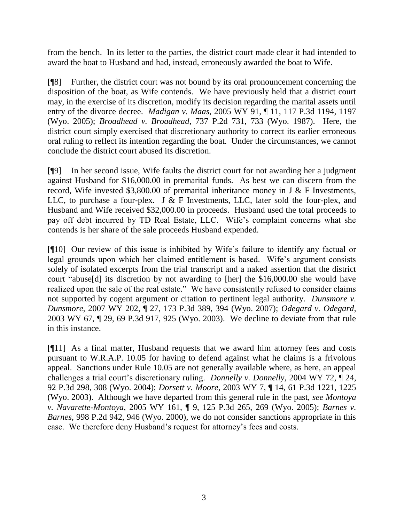from the bench. In its letter to the parties, the district court made clear it had intended to award the boat to Husband and had, instead, erroneously awarded the boat to Wife.

[¶8] Further, the district court was not bound by its oral pronouncement concerning the disposition of the boat, as Wife contends. We have previously held that a district court may, in the exercise of its discretion, modify its decision regarding the marital assets until entry of the divorce decree. *Madigan v. Maas*, 2005 WY 91, ¶ 11, 117 P.3d 1194, 1197 (Wyo. 2005); *Broadhead v. Broadhead*, 737 P.2d 731, 733 (Wyo. 1987). Here, the district court simply exercised that discretionary authority to correct its earlier erroneous oral ruling to reflect its intention regarding the boat. Under the circumstances, we cannot conclude the district court abused its discretion.

[¶9] In her second issue, Wife faults the district court for not awarding her a judgment against Husband for \$16,000.00 in premarital funds. As best we can discern from the record, Wife invested \$3,800.00 of premarital inheritance money in J  $\&$  F Investments, LLC, to purchase a four-plex. J  $\&$  F Investments, LLC, later sold the four-plex, and Husband and Wife received \$32,000.00 in proceeds. Husband used the total proceeds to pay off debt incurred by TD Real Estate, LLC. Wife's complaint concerns what she contends is her share of the sale proceeds Husband expended.

[¶10] Our review of this issue is inhibited by Wife's failure to identify any factual or legal grounds upon which her claimed entitlement is based. Wife's argument consists solely of isolated excerpts from the trial transcript and a naked assertion that the district court "abuse[d] its discretion by not awarding to [her] the \$16,000.00 she would have realized upon the sale of the real estate." We have consistently refused to consider claims not supported by cogent argument or citation to pertinent legal authority. *Dunsmore v. Dunsmore*, 2007 WY 202, ¶ 27, 173 P.3d 389, 394 (Wyo. 2007); *Odegard v. Odegard*, 2003 WY 67, ¶ 29, 69 P.3d 917, 925 (Wyo. 2003). We decline to deviate from that rule in this instance.

[¶11] As a final matter, Husband requests that we award him attorney fees and costs pursuant to W.R.A.P. 10.05 for having to defend against what he claims is a frivolous appeal. Sanctions under Rule 10.05 are not generally available where, as here, an appeal challenges a trial court's discretionary ruling. *Donnelly v. Donnelly*, 2004 WY 72, ¶ 24, 92 P.3d 298, 308 (Wyo. 2004); *Dorsett v. Moore*, 2003 WY 7, ¶ 14, 61 P.3d 1221, 1225 (Wyo. 2003). Although we have departed from this general rule in the past, *see Montoya v. Navarette-Montoya*, 2005 WY 161, ¶ 9, 125 P.3d 265, 269 (Wyo. 2005); *Barnes v. Barnes*, 998 P.2d 942, 946 (Wyo. 2000), we do not consider sanctions appropriate in this case. We therefore deny Husband's request for attorney's fees and costs.